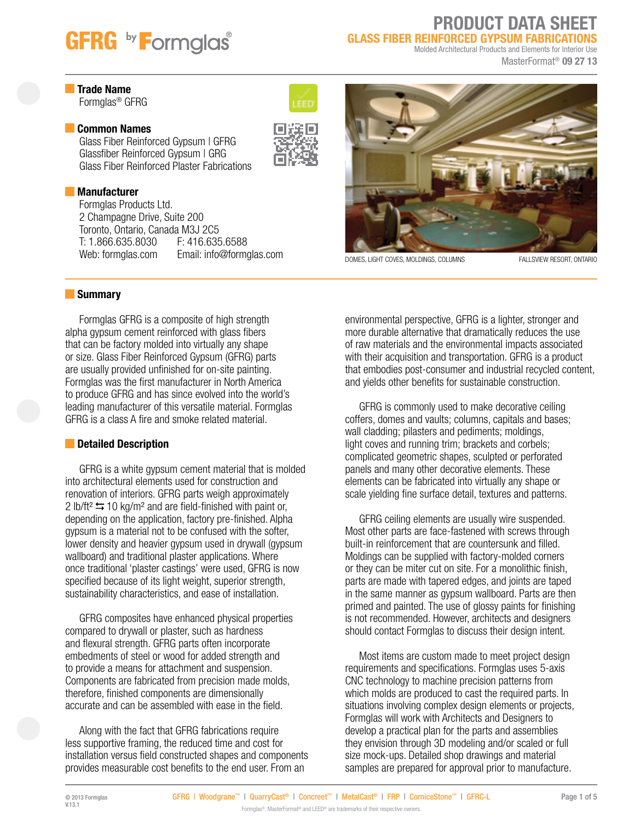# **GFRG** by **Formglas**

## PRODUCT DATA SHEET GLASS FIBER REINFORCED GYPSUM FABRICATIONS

Molded Architectural Products and Elements for Interior Use

MasterFormat® 09 27 13

## **Trade Name**

Formglas® GFRG

### **Common Names**

Glass Fiber Reinforced Gypsum | GFRG Glassfiber Reinforced Gypsum | GRG Glass Fiber Reinforced Plaster Fabrications

## **Manufacturer**

Formglas Products Ltd. 2 Champagne Drive, Suite 200 Toronto, Ontario, Canada M3J 2C5 T: 1.866.635.8030 Web: formglas.com Email: info@formglas.com DOMES, LIGHT COVES, MOLDINGS, COLUMNS FALLSVIEW RESORT, ONTARIO





### **Summary**

Formglas GFRG is a composite of high strength alpha gypsum cement reinforced with glass fibers that can be factory molded into virtually any shape or size. Glass Fiber Reinforced Gypsum (GFRG) parts are usually provided unfinished for on-site painting. Formglas was the first manufacturer in North America to produce GFRG and has since evolved into the world's leading manufacturer of this versatile material. Formglas GFRG is a class A fire and smoke related material.

# **Detailed Description**

GFRG is a white gypsum cement material that is molded into architectural elements used for construction and renovation of interiors. GFRG parts weigh approximately 2 lb/ft<sup>2</sup>  $\leq$  10 kg/m<sup>2</sup> and are field-finished with paint or, depending on the application, factory pre-finished. Alpha gypsum is a material not to be confused with the softer, lower density and heavier gypsum used in drywall (gypsum wallboard) and traditional plaster applications. Where once traditional 'plaster castings' were used, GFRG is now specified because of its light weight, superior strength, sustainability characteristics, and ease of installation.

GFRG composites have enhanced physical properties compared to drywall or plaster, such as hardness and flexural strength. GFRG parts often incorporate embedments of steel or wood for added strength and to provide a means for attachment and suspension. Components are fabricated from precision made molds, therefore, finished components are dimensionally accurate and can be assembled with ease in the field.

Along with the fact that GFRG fabrications require less supportive framing, the reduced time and cost for installation versus field constructed shapes and components provides measurable cost benefits to the end user. From an

environmental perspective, GFRG is a lighter, stronger and more durable alternative that dramatically reduces the use of raw materials and the environmental impacts associated with their acquisition and transportation. GFRG is a product that embodies post-consumer and industrial recycled content, and yields other benefits for sustainable construction.

GFRG is commonly used to make decorative ceiling coffers, domes and vaults; columns, capitals and bases; wall cladding; pilasters and pediments; moldings, light coves and running trim; brackets and corbels; complicated geometric shapes, sculpted or perforated panels and many other decorative elements. These elements can be fabricated into virtually any shape or scale yielding fine surface detail, textures and patterns.

GFRG ceiling elements are usually wire suspended. Most other parts are face-fastened with screws through built-in reinforcement that are countersunk and filled. Moldings can be supplied with factory-molded corners or they can be miter cut on site. For a monolithic finish, parts are made with tapered edges, and joints are taped in the same manner as gypsum wallboard. Parts are then primed and painted. The use of glossy paints for finishing is not recommended. However, architects and designers should contact Formglas to discuss their design intent.

Most items are custom made to meet project design requirements and specifications. Formglas uses 5-axis CNC technology to machine precision patterns from which molds are produced to cast the required parts. In situations involving complex design elements or projects, Formglas will work with Architects and Designers to develop a practical plan for the parts and assemblies they envision through 3D modeling and/or scaled or full size mock-ups. Detailed shop drawings and material samples are prepared for approval prior to manufacture.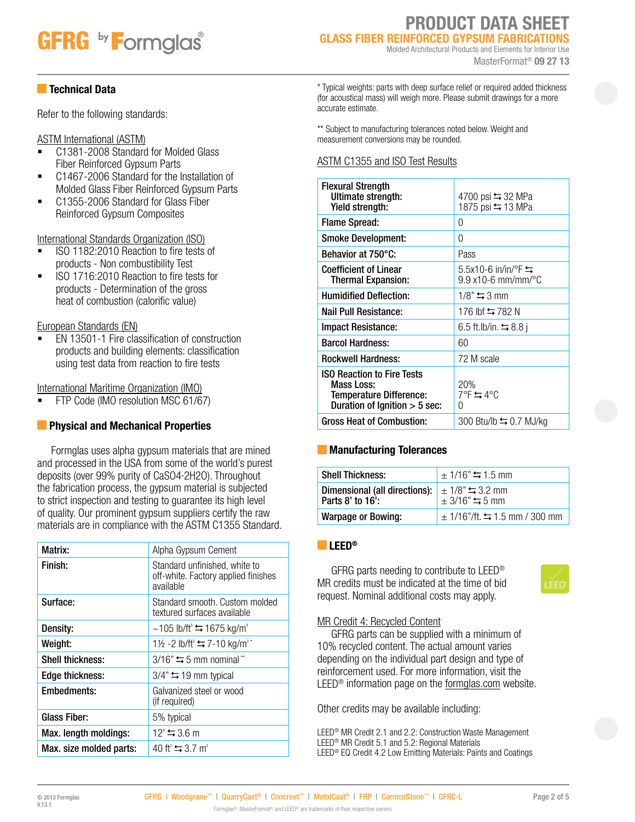# **GFRG** by **F**ormglas<sup>®</sup>

# PRODUCT DATA SHEET GLASS FIBER REINFORCED GYPSUM FABRICATIONS

Molded Architectural Products and Elements for Interior Use MasterFormat® 09 27 13

### Technical Data

Refer to the following standards:

### ASTM International (ASTM)

- C1381-2008 Standard for Molded Glass Fiber Reinforced Gypsum Parts
- C1467-2006 Standard for the Installation of Molded Glass Fiber Reinforced Gypsum Parts
- C1355-2006 Standard for Glass Fiber Reinforced Gypsum Composites

International Standards Organization (ISO)

- ISO 1182:2010 Reaction to fire tests of products - Non combustibility Test
- ISO 1716:2010 Reaction to fire tests for products - Determination of the gross heat of combustion (calorific value)

## European Standards (EN)

 EN 13501-1 Fire classification of construction products and building elements: classification using test data from reaction to fire tests

### International Maritime Organization (IMO)

FTP Code (IMO resolution MSC 61/67)

# **Physical and Mechanical Properties**

Formglas uses alpha gypsum materials that are mined and processed in the USA from some of the world's purest deposits (over 99% purity of CaSO4·2H2O). Throughout the fabrication process, the gypsum material is subjected to strict inspection and testing to guarantee its high level of quality. Our prominent gypsum suppliers certify the raw materials are in compliance with the ASTM C1355 Standard.

| Matrix:                 | Alpha Gypsum Cement                                                               |
|-------------------------|-----------------------------------------------------------------------------------|
| Finish:                 | Standard unfinished, white to<br>off-white. Factory applied finishes<br>available |
| Surface:                | Standard smooth. Custom molded<br>textured surfaces available                     |
| Density:                | ~105 lb/ft <sup>3</sup> $\leftrightarrows$ 1675 kg/m <sup>3</sup>                 |
| Weight:                 | 1½ -2 lb/ft <sup>2</sup> $\leftrightarrows$ 7-10 kg/m <sup>2</sup> <sup>*</sup>   |
| <b>Shell thickness:</b> | $3/16"$ $\leq$ 5 mm nominal **                                                    |
| Edge thickness:         | $3/4$ " $\leftrightharpoons$ 19 mm typical                                        |
| Embedments:             | Galvanized steel or wood<br>(if required)                                         |
| <b>Glass Fiber:</b>     | 5% typical                                                                        |
| Max. length moldings:   | $12' = 3.6$ m                                                                     |
| Max. size molded parts: | 40 ft <sup>2</sup> $\leq$ 3.7 m <sup>2</sup>                                      |

\* Typical weights: parts with deep surface relief or required added thickness (for acoustical mass) will weigh more. Please submit drawings for a more accurate estimate.

\*\* Subject to manufacturing tolerances noted below. Weight and measurement conversions may be rounded.

### ASTM C1355 and ISO Test Results

| <b>Flexural Strength</b><br>Ultimate strength:<br>Yield strength:                                                           | 4700 psi ≒ 32 MPa<br>1875 psi ≒ 13 MPa             |
|-----------------------------------------------------------------------------------------------------------------------------|----------------------------------------------------|
| <b>Flame Spread:</b>                                                                                                        | 0                                                  |
| <b>Smoke Development:</b>                                                                                                   | 0                                                  |
| Behavior at 750°C:                                                                                                          | Pass                                               |
| <b>Coefficient of Linear</b><br><b>Thermal Expansion:</b>                                                                   | $5.5x10-6$ in/in/°F $\equiv$<br>9.9 x10-6 mm/mm/°C |
| <b>Humidified Deflection:</b>                                                                                               | $1/8$ " $\leftrightarrows$ 3 mm                    |
| Nail Pull Resistance:                                                                                                       | 176 lbf $\leftrightarrows$ 782 N                   |
| Impact Resistance:                                                                                                          | 6.5 ft.lb/in. $\leftrightarrows$ 8.8 i             |
| <b>Barcol Hardness:</b>                                                                                                     | 60                                                 |
| <b>Rockwell Hardness:</b>                                                                                                   | 72 M scale                                         |
| <b>ISO Reaction to Fire Tests</b><br><b>Mass Loss:</b><br><b>Temperature Difference:</b><br>Duration of Ignition $>$ 5 sec: | 20%<br>7°F 54°C<br>0                               |
| <b>Gross Heat of Combustion:</b>                                                                                            | 300 Btu/lb ≒ 0.7 MJ/kg                             |

### **Manufacturing Tolerances**

| <b>Shell Thickness:</b>                           | $\pm$ 1/16" $\leftrightarrows$ 1.5 mm                         |
|---------------------------------------------------|---------------------------------------------------------------|
| Dimensional (all directions):<br>Parts 8' to 16': | $\pm$ 1/8" $\leftrightarrows$ 3.2 mm<br>$± 3/16"$ $\leq 5$ mm |
| <b>Warpage or Bowing:</b>                         | $\pm$ 1/16"/ft. $\leftrightarrows$ 1.5 mm / 300 mm            |

### **LEED®**

GFRG parts needing to contribute to LEED® MR credits must be indicated at the time of bid request. Nominal additional costs may apply.



### MR Credit 4: Recycled Content

GFRG parts can be supplied with a minimum of 10% recycled content. The actual amount varies depending on the individual part design and type of reinforcement used. For more information, visit the LEED<sup>®</sup> information page on the formglas.com website.

Other credits may be available including:

LEED® MR Credit 2.1 and 2.2: Construction Waste Management LEED® MR Credit 5.1 and 5.2: Regional Materials LEED® EQ Credit 4.2 Low Emitting Materials: Paints and Coatings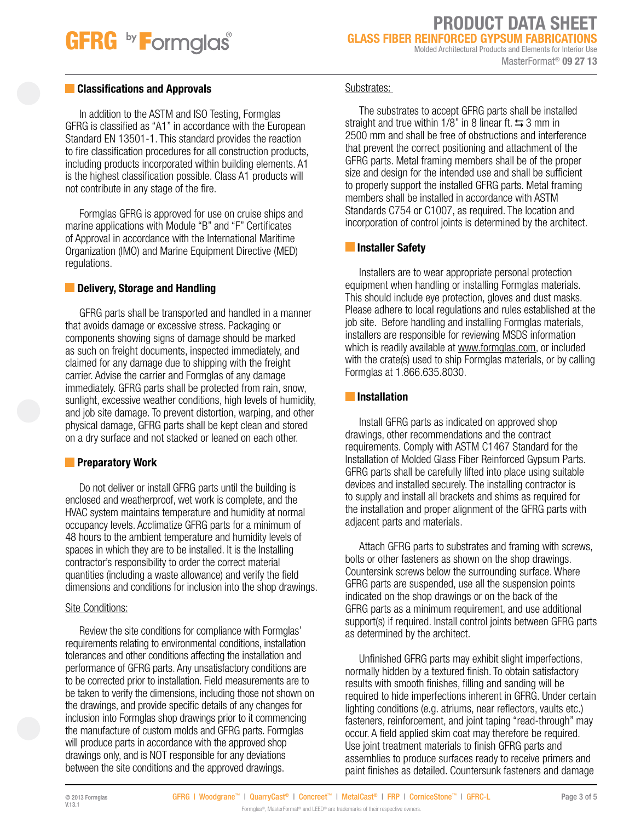# **GFRG** by **Formglas**

PRODUCT DATA SHEET GLASS FIBER REINFORCED GYPSUM FABRICATIONS Molded Architectural Products and Elements for Interior Use

#### MasterFormat® 09 27 13

### **Classifications and Approvals**

In addition to the ASTM and ISO Testing, Formglas GFRG is classified as "A1" in accordance with the European Standard EN 13501-1. This standard provides the reaction to fire classification procedures for all construction products, including products incorporated within building elements. A1 is the highest classification possible. Class A1 products will not contribute in any stage of the fire.

Formglas GFRG is approved for use on cruise ships and marine applications with Module "B" and "F" Certificates of Approval in accordance with the International Maritime Organization (IMO) and Marine Equipment Directive (MED) regulations.

### **Delivery, Storage and Handling**

GFRG parts shall be transported and handled in a manner that avoids damage or excessive stress. Packaging or components showing signs of damage should be marked as such on freight documents, inspected immediately, and claimed for any damage due to shipping with the freight carrier. Advise the carrier and Formglas of any damage immediately. GFRG parts shall be protected from rain, snow, sunlight, excessive weather conditions, high levels of humidity, and job site damage. To prevent distortion, warping, and other physical damage, GFRG parts shall be kept clean and stored on a dry surface and not stacked or leaned on each other.

### **Preparatory Work**

Do not deliver or install GFRG parts until the building is enclosed and weatherproof, wet work is complete, and the HVAC system maintains temperature and humidity at normal occupancy levels. Acclimatize GFRG parts for a minimum of 48 hours to the ambient temperature and humidity levels of spaces in which they are to be installed. It is the Installing contractor's responsibility to order the correct material quantities (including a waste allowance) and verify the field dimensions and conditions for inclusion into the shop drawings.

#### Site Conditions:

Review the site conditions for compliance with Formglas' requirements relating to environmental conditions, installation tolerances and other conditions affecting the installation and performance of GFRG parts. Any unsatisfactory conditions are to be corrected prior to installation. Field measurements are to be taken to verify the dimensions, including those not shown on the drawings, and provide specific details of any changes for inclusion into Formglas shop drawings prior to it commencing the manufacture of custom molds and GFRG parts. Formglas will produce parts in accordance with the approved shop drawings only, and is NOT responsible for any deviations between the site conditions and the approved drawings.

### Substrates:

The substrates to accept GFRG parts shall be installed straight and true within 1/8" in 8 linear ft.  $\leftrightarrows$  3 mm in 2500 mm and shall be free of obstructions and interference that prevent the correct positioning and attachment of the GFRG parts. Metal framing members shall be of the proper size and design for the intended use and shall be sufficient to properly support the installed GFRG parts. Metal framing members shall be installed in accordance with ASTM Standards C754 or C1007, as required. The location and incorporation of control joints is determined by the architect.

### **Installer Safety**

Installers are to wear appropriate personal protection equipment when handling or installing Formglas materials. This should include eye protection, gloves and dust masks. Please adhere to local regulations and rules established at the job site. Before handling and installing Formglas materials, installers are responsible for reviewing MSDS information which is readily available at www.formglas.com, or included with the crate(s) used to ship Formglas materials, or by calling Formglas at 1.866.635.8030.

### **Installation**

Install GFRG parts as indicated on approved shop drawings, other recommendations and the contract requirements. Comply with ASTM C1467 Standard for the Installation of Molded Glass Fiber Reinforced Gypsum Parts. GFRG parts shall be carefully lifted into place using suitable devices and installed securely. The installing contractor is to supply and install all brackets and shims as required for the installation and proper alignment of the GFRG parts with adjacent parts and materials.

Attach GFRG parts to substrates and framing with screws, bolts or other fasteners as shown on the shop drawings. Countersink screws below the surrounding surface. Where GFRG parts are suspended, use all the suspension points indicated on the shop drawings or on the back of the GFRG parts as a minimum requirement, and use additional support(s) if required. Install control joints between GFRG parts as determined by the architect.

Unfinished GFRG parts may exhibit slight imperfections, normally hidden by a textured finish. To obtain satisfactory results with smooth finishes, filling and sanding will be required to hide imperfections inherent in GFRG. Under certain lighting conditions (e.g. atriums, near reflectors, vaults etc.) fasteners, reinforcement, and joint taping "read-through" may occur. A field applied skim coat may therefore be required. Use joint treatment materials to finish GFRG parts and assemblies to produce surfaces ready to receive primers and paint finishes as detailed. Countersunk fasteners and damage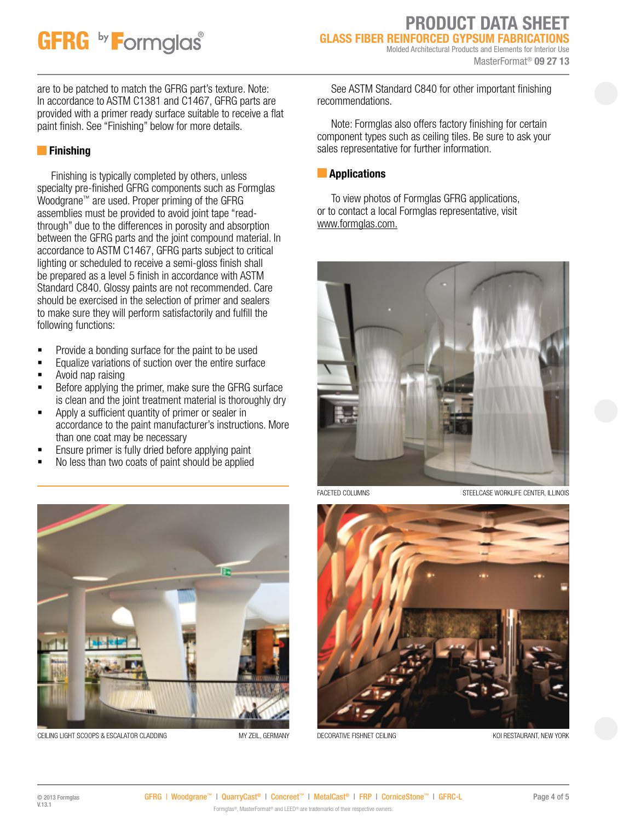# **GFRG** by **Formglas**

# PRODUCT DATA SHEET **GLASS FIBER REINFORCED GYPSUM FABRICATIO**

Molded Architectural Products and Elements for Interior Use MasterFormat<sup>®</sup> 09 27 13

are to be patched to match the GFRG part's texture. Note: In accordance to ASTM C1381 and C1467, GFRG parts are provided with a primer ready surface suitable to receive a flat paint finish. See "Finishing" below for more details.

## **Finishing**

Finishing is typically completed by others, unless specialty pre-finished GFRG components such as Formglas Woodgrane™ are used. Proper priming of the GFRG assemblies must be provided to avoid joint tape "readthrough" due to the differences in porosity and absorption between the GFRG parts and the joint compound material. In accordance to ASTM C1467, GFRG parts subject to critical lighting or scheduled to receive a semi-gloss finish shall be prepared as a level 5 finish in accordance with ASTM Standard C840. Glossy paints are not recommended. Care should be exercised in the selection of primer and sealers to make sure they will perform satisfactorily and fulfill the following functions:

- **Provide a bonding surface for the paint to be used**
- **Equalize variations of suction over the entire surface**
- Avoid nap raising
- Before applying the primer, make sure the GFRG surface is clean and the joint treatment material is thoroughly dry
- **Apply a sufficient quantity of primer or sealer in** accordance to the paint manufacturer's instructions. More than one coat may be necessary
- Ensure primer is fully dried before applying paint
- No less than two coats of paint should be applied



CEILING LIGHT SCOOPS & ESCALATOR CLADDING MY ZEIL, GERMANY

See ASTM Standard C840 for other important finishing recommendations.

Note: Formglas also offers factory finishing for certain component types such as ceiling tiles. Be sure to ask your sales representative for further information.

### **Applications**

To view photos of Formglas GFRG applications, or to contact a local Formglas representative, visit www.formglas.com.



FACETED COLUMNS STEELCASE WORKLIFE CENTER, ILLINOIS



DECORATIVE FISHNET CEILING KOLOGIE AND THE STAURANT, NEW YORK